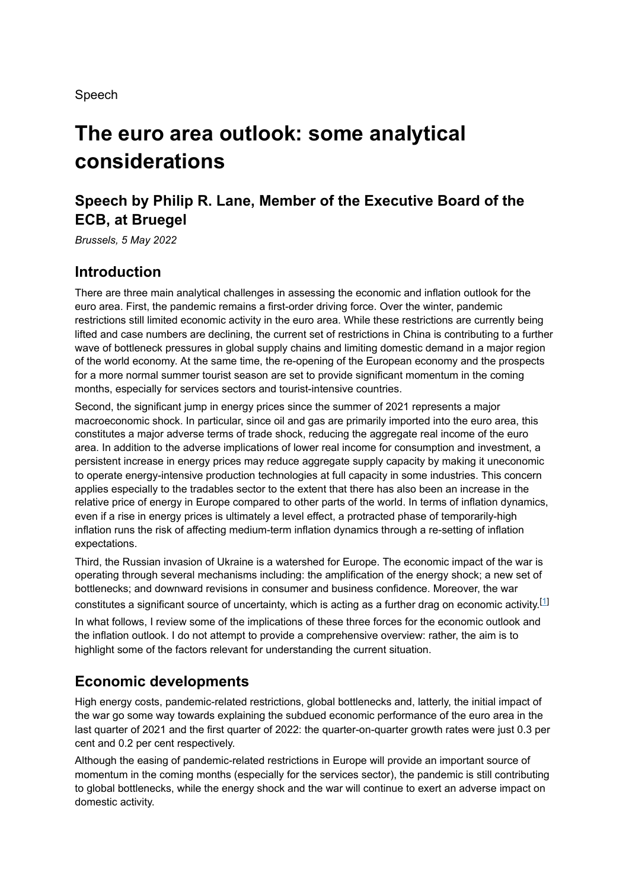Speech

# **The euro area outlook: some analytical considerations**

## **Speech by Philip R. Lane, Member of the Executive Board of the ECB, at Bruegel**

*Brussels, 5 May 2022*

### **Introduction**

There are three main analytical challenges in assessing the economic and inflation outlook for the euro area. First, the pandemic remains a first-order driving force. Over the winter, pandemic restrictions still limited economic activity in the euro area. While these restrictions are currently being lifted and case numbers are declining, the current set of restrictions in China is contributing to a further wave of bottleneck pressures in global supply chains and limiting domestic demand in a major region of the world economy. At the same time, the re-opening of the European economy and the prospects for a more normal summer tourist season are set to provide significant momentum in the coming months, especially for services sectors and tourist-intensive countries.

Second, the significant jump in energy prices since the summer of 2021 represents a major macroeconomic shock. In particular, since oil and gas are primarily imported into the euro area, this constitutes a major adverse terms of trade shock, reducing the aggregate real income of the euro area. In addition to the adverse implications of lower real income for consumption and investment, a persistent increase in energy prices may reduce aggregate supply capacity by making it uneconomic to operate energy-intensive production technologies at full capacity in some industries. This concern applies especially to the tradables sector to the extent that there has also been an increase in the relative price of energy in Europe compared to other parts of the world. In terms of inflation dynamics, even if a rise in energy prices is ultimately a level effect, a protracted phase of temporarily-high inflation runs the risk of affecting medium-term inflation dynamics through a re-setting of inflation expectations.

Third, the Russian invasion of Ukraine is a watershed for Europe. The economic impact of the war is operating through several mechanisms including: the amplification of the energy shock; a new set of bottlenecks; and downward revisions in consumer and business confidence. Moreover, the war constitutes a significant source of uncertainty, which is acting as a further drag on economic activity. $^{[1]}$ 

In what follows, I review some of the implications of these three forces for the economic outlook and the inflation outlook. I do not attempt to provide a comprehensive overview: rather, the aim is to highlight some of the factors relevant for understanding the current situation.

## **Economic developments**

High energy costs, pandemic-related restrictions, global bottlenecks and, latterly, the initial impact of the war go some way towards explaining the subdued economic performance of the euro area in the last quarter of 2021 and the first quarter of 2022: the quarter-on-quarter growth rates were just 0.3 per cent and 0.2 per cent respectively.

Although the easing of pandemic-related restrictions in Europe will provide an important source of momentum in the coming months (especially for the services sector), the pandemic is still contributing to global bottlenecks, while the energy shock and the war will continue to exert an adverse impact on domestic activity.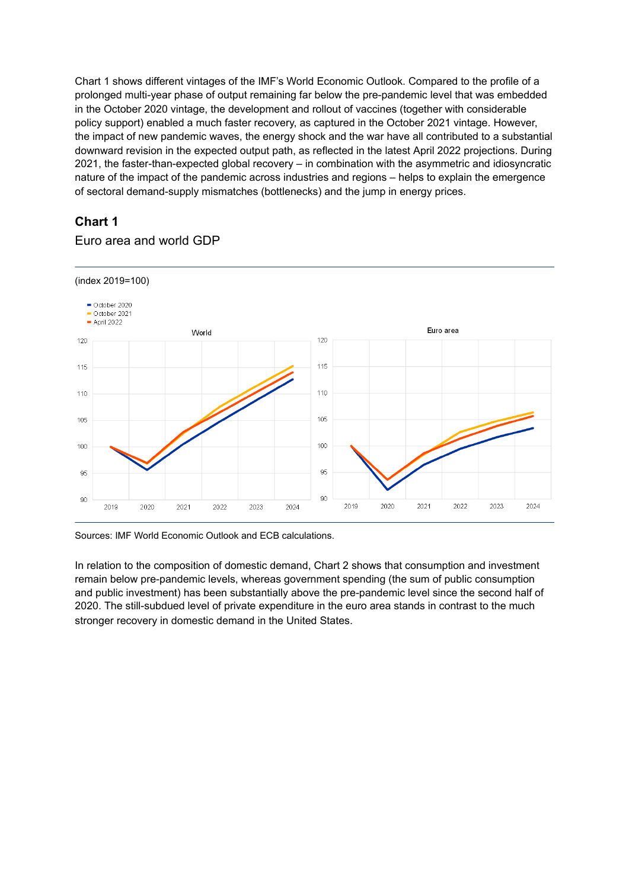Chart 1 shows different vintages of the IMF's World Economic Outlook. Compared to the profile of a prolonged multi-year phase of output remaining far below the pre-pandemic level that was embedded in the October 2020 vintage, the development and rollout of vaccines (together with considerable policy support) enabled a much faster recovery, as captured in the October 2021 vintage. However, the impact of new pandemic waves, the energy shock and the war have all contributed to a substantial downward revision in the expected output path, as reflected in the latest April 2022 projections. During 2021, the faster-than-expected global recovery – in combination with the asymmetric and idiosyncratic nature of the impact of the pandemic across industries and regions – helps to explain the emergence of sectoral demand-supply mismatches (bottlenecks) and the jump in energy prices.

### **Chart 1**

### Euro area and world GDP



Sources: IMF World Economic Outlook and ECB calculations.

In relation to the composition of domestic demand, Chart 2 shows that consumption and investment remain below pre-pandemic levels, whereas government spending (the sum of public consumption and public investment) has been substantially above the pre-pandemic level since the second half of 2020. The still-subdued level of private expenditure in the euro area stands in contrast to the much stronger recovery in domestic demand in the United States.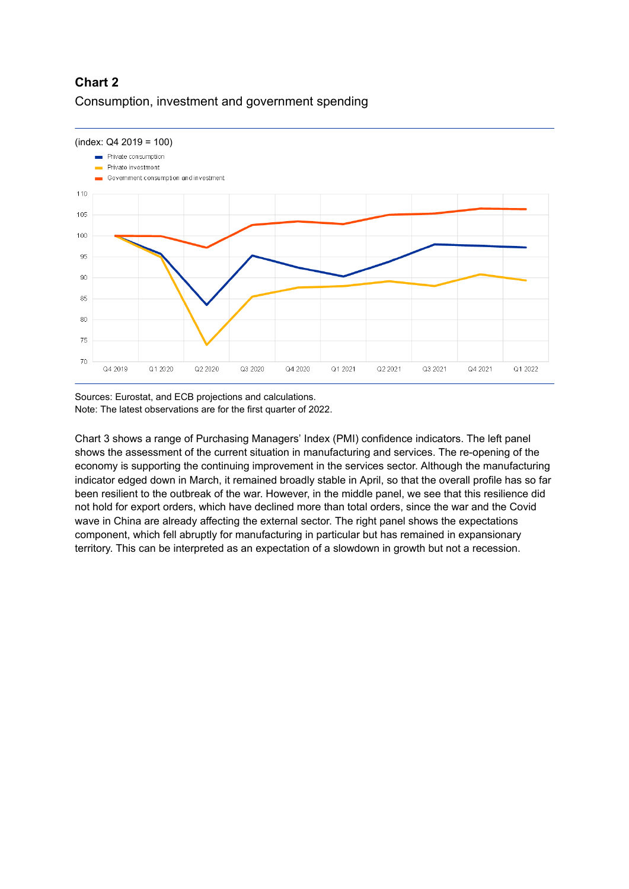### **Chart 2** Consumption, investment and government spending



Sources: Eurostat, and ECB projections and calculations. Note: The latest observations are for the first quarter of 2022.

Chart 3 shows a range of Purchasing Managers' Index (PMI) confidence indicators. The left panel shows the assessment of the current situation in manufacturing and services. The re-opening of the economy is supporting the continuing improvement in the services sector. Although the manufacturing indicator edged down in March, it remained broadly stable in April, so that the overall profile has so far been resilient to the outbreak of the war. However, in the middle panel, we see that this resilience did not hold for export orders, which have declined more than total orders, since the war and the Covid wave in China are already affecting the external sector. The right panel shows the expectations component, which fell abruptly for manufacturing in particular but has remained in expansionary territory. This can be interpreted as an expectation of a slowdown in growth but not a recession.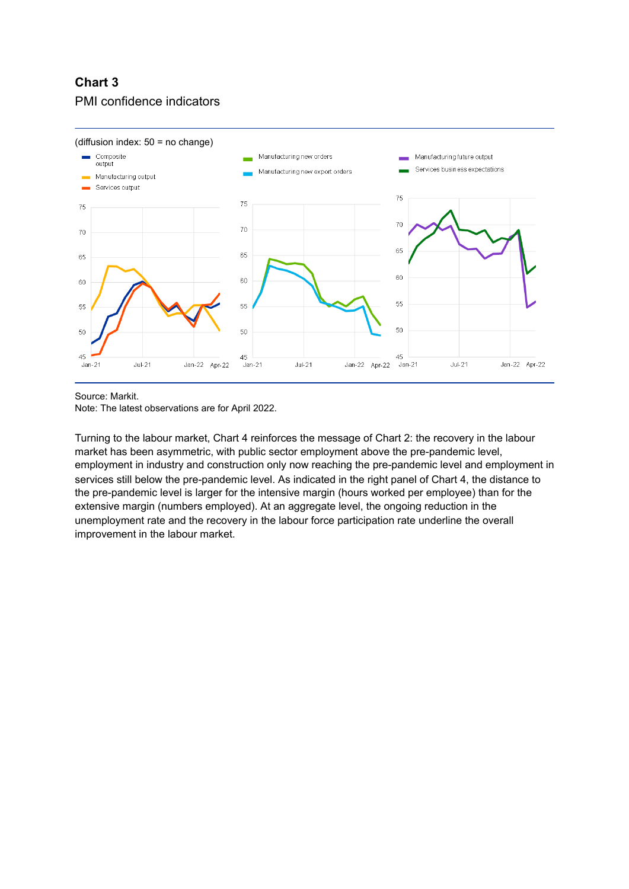### **Chart 3** PMI confidence indicators



Source: Markit.

Note: The latest observations are for April 2022.

Turning to the labour market, Chart 4 reinforces the message of Chart 2: the recovery in the labour market has been asymmetric, with public sector employment above the pre-pandemic level, employment in industry and construction only now reaching the pre-pandemic level and employment in services still below the pre-pandemic level. As indicated in the right panel of Chart 4, the distance to the pre-pandemic level is larger for the intensive margin (hours worked per employee) than for the extensive margin (numbers employed). At an aggregate level, the ongoing reduction in the unemployment rate and the recovery in the labour force participation rate underline the overall improvement in the labour market.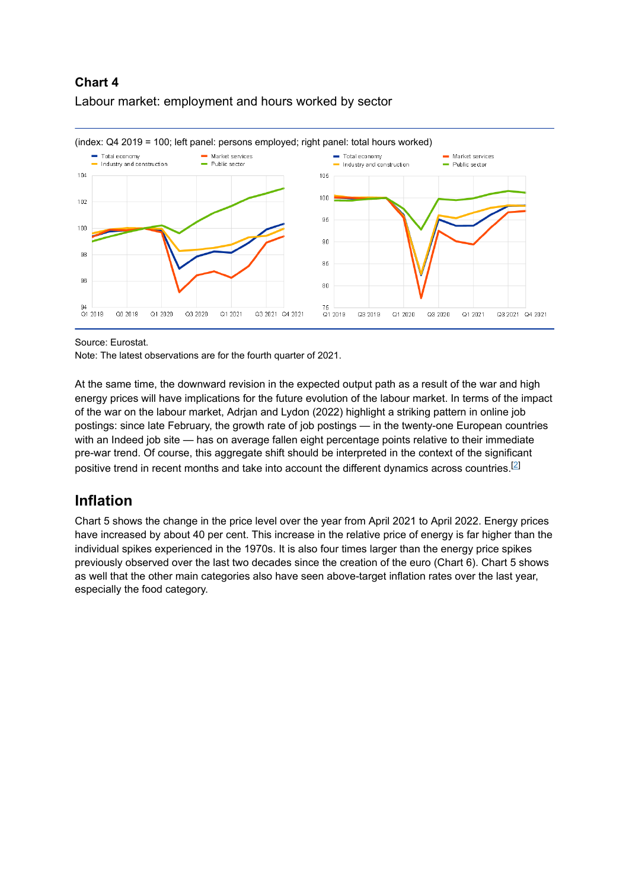### **Chart 4** Labour market: employment and hours worked by sector



Source: Eurostat.

Note: The latest observations are for the fourth quarter of 2021.

At the same time, the downward revision in the expected output path as a result of the war and high energy prices will have implications for the future evolution of the labour market. In terms of the impact of the war on the labour market, Adrjan and Lydon (2022) highlight a striking pattern in online job postings: since late February, the growth rate of job postings — in the twenty-one European countries with an Indeed job site — has on average fallen eight percentage points relative to their immediate pre-war trend. Of course, this aggregate shift should be interpreted in the context of the significant positive trend in recent months and take into account the different dynamics across countries. $^{[2]}$ 

## **Inflation**

Chart 5 shows the change in the price level over the year from April 2021 to April 2022. Energy prices have increased by about 40 per cent. This increase in the relative price of energy is far higher than the individual spikes experienced in the 1970s. It is also four times larger than the energy price spikes previously observed over the last two decades since the creation of the euro (Chart 6). Chart 5 shows as well that the other main categories also have seen above-target inflation rates over the last year, especially the food category.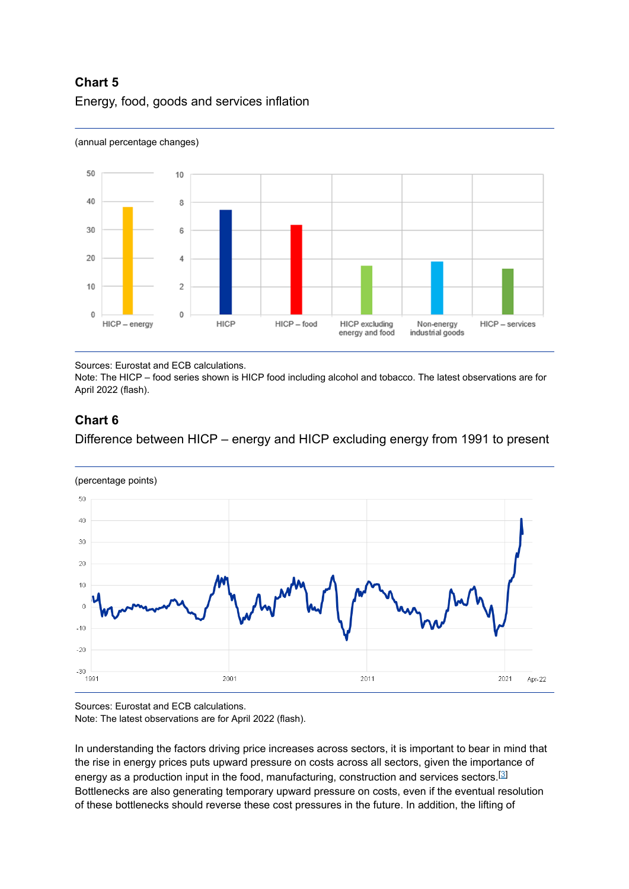### **Chart 5** Energy, food, goods and services inflation



#### (annual percentage changes)

Sources: Eurostat and ECB calculations.

Note: The HICP – food series shown is HICP food including alcohol and tobacco. The latest observations are for April 2022 (flash).

### **Chart 6**

Difference between HICP – energy and HICP excluding energy from 1991 to present



(percentage points)

Sources: Eurostat and ECB calculations. Note: The latest observations are for April 2022 (flash).

In understanding the factors driving price increases across sectors, it is important to bear in mind that the rise in energy prices puts upward pressure on costs across all sectors, given the importance of energy as a production input in the food, manufacturing, construction and services sectors. $^{\text{\textregistered}}$ Bottlenecks are also generating temporary upward pressure on costs, even if the eventual resolution of these bottlenecks should reverse these cost pressures in the future. In addition, the lifting of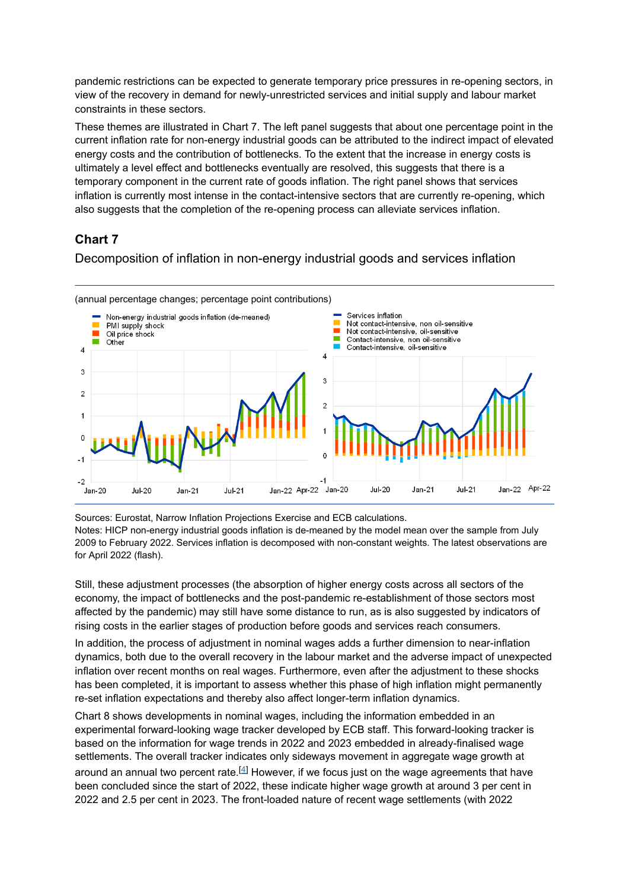pandemic restrictions can be expected to generate temporary price pressures in re-opening sectors, in view of the recovery in demand for newly-unrestricted services and initial supply and labour market constraints in these sectors.

These themes are illustrated in Chart 7. The left panel suggests that about one percentage point in the current inflation rate for non-energy industrial goods can be attributed to the indirect impact of elevated energy costs and the contribution of bottlenecks. To the extent that the increase in energy costs is ultimately a level effect and bottlenecks eventually are resolved, this suggests that there is a temporary component in the current rate of goods inflation. The right panel shows that services inflation is currently most intense in the contact-intensive sectors that are currently re-opening, which also suggests that the completion of the re-opening process can alleviate services inflation.

### **Chart 7**

Decomposition of inflation in non-energy industrial goods and services inflation



Sources: Eurostat, Narrow Inflation Projections Exercise and ECB calculations. Notes: HICP non-energy industrial goods inflation is de-meaned by the model mean over the sample from July 2009 to February 2022. Services inflation is decomposed with non-constant weights. The latest observations are for April 2022 (flash).

Still, these adjustment processes (the absorption of higher energy costs across all sectors of the economy, the impact of bottlenecks and the post-pandemic re-establishment of those sectors most affected by the pandemic) may still have some distance to run, as is also suggested by indicators of rising costs in the earlier stages of production before goods and services reach consumers.

In addition, the process of adjustment in nominal wages adds a further dimension to near-inflation dynamics, both due to the overall recovery in the labour market and the adverse impact of unexpected inflation over recent months on real wages. Furthermore, even after the adjustment to these shocks has been completed, it is important to assess whether this phase of high inflation might permanently re-set inflation expectations and thereby also affect longer-term inflation dynamics.

Chart 8 shows developments in nominal wages, including the information embedded in an experimental forward-looking wage tracker developed by ECB staff. This forward-looking tracker is based on the information for wage trends in 2022 and 2023 embedded in already-finalised wage settlements. The overall tracker indicates only sideways movement in aggregate wage growth at around an annual two percent rate. $^{[4]}$  However, if we focus just on the wage agreements that have been concluded since the start of 2022, these indicate higher wage growth at around 3 per cent in 2022 and 2.5 per cent in 2023. The front-loaded nature of recent wage settlements (with 2022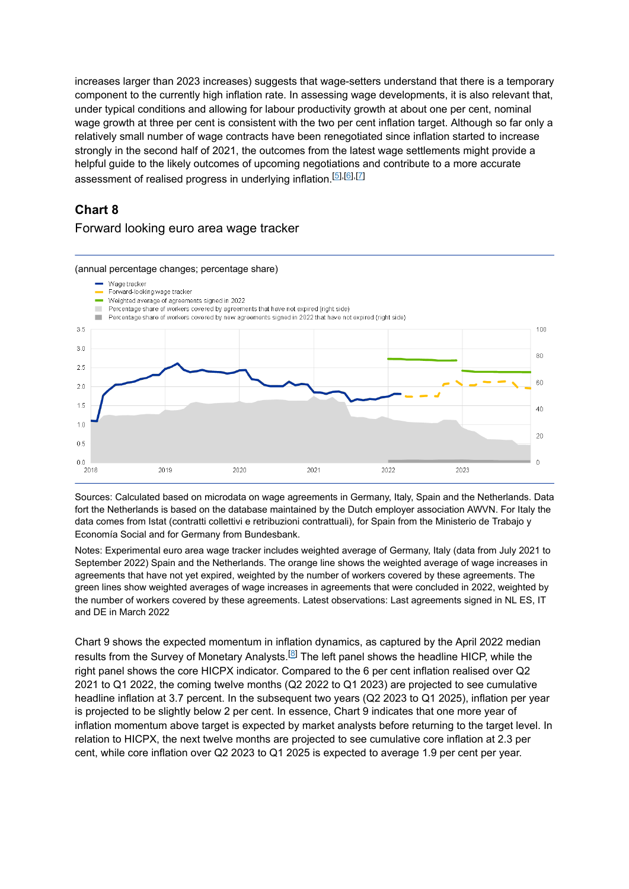increases larger than 2023 increases) suggests that wage-setters understand that there is a temporary component to the currently high inflation rate. In assessing wage developments, it is also relevant that, under typical conditions and allowing for labour productivity growth at about one per cent, nominal wage growth at three per cent is consistent with the two per cent inflation target. Although so far only a relatively small number of wage contracts have been renegotiated since inflation started to increase strongly in the second half of 2021, the outcomes from the latest wage settlements might provide a helpful guide to the likely outcomes of upcoming negotiations and contribute to a more accurate assessment of realised progress in underlying inflation.<sup>[<u>5],[6</u>],[<u>7</u>]</sup>

### **Chart 8**

#### Forward looking euro area wage tracker



Sources: Calculated based on microdata on wage agreements in Germany, Italy, Spain and the Netherlands. Data fort the Netherlands is based on the database maintained by the Dutch employer association AWVN. For Italy the data comes from Istat (contratti collettivi e retribuzioni contrattuali), for Spain from the Ministerio de Trabajo y Economía Social and for Germany from Bundesbank.

Notes: Experimental euro area wage tracker includes weighted average of Germany, Italy (data from July 2021 to September 2022) Spain and the Netherlands. The orange line shows the weighted average of wage increases in agreements that have not yet expired, weighted by the number of workers covered by these agreements. The green lines show weighted averages of wage increases in agreements that were concluded in 2022, weighted by the number of workers covered by these agreements. Latest observations: Last agreements signed in NL ES, IT and DE in March 2022

Chart 9 shows the expected momentum in inflation dynamics, as captured by the April 2022 median results from the Survey of Monetary Analysts. $^{[8]}$  The left panel shows the headline HICP, while the right panel shows the core HICPX indicator. Compared to the 6 per cent inflation realised over Q2 2021 to Q1 2022, the coming twelve months (Q2 2022 to Q1 2023) are projected to see cumulative headline inflation at 3.7 percent. In the subsequent two years (Q2 2023 to Q1 2025), inflation per year is projected to be slightly below 2 per cent. In essence, Chart 9 indicates that one more year of inflation momentum above target is expected by market analysts before returning to the target level. In relation to HICPX, the next twelve months are projected to see cumulative core inflation at 2.3 per cent, while core inflation over Q2 2023 to Q1 2025 is expected to average 1.9 per cent per year.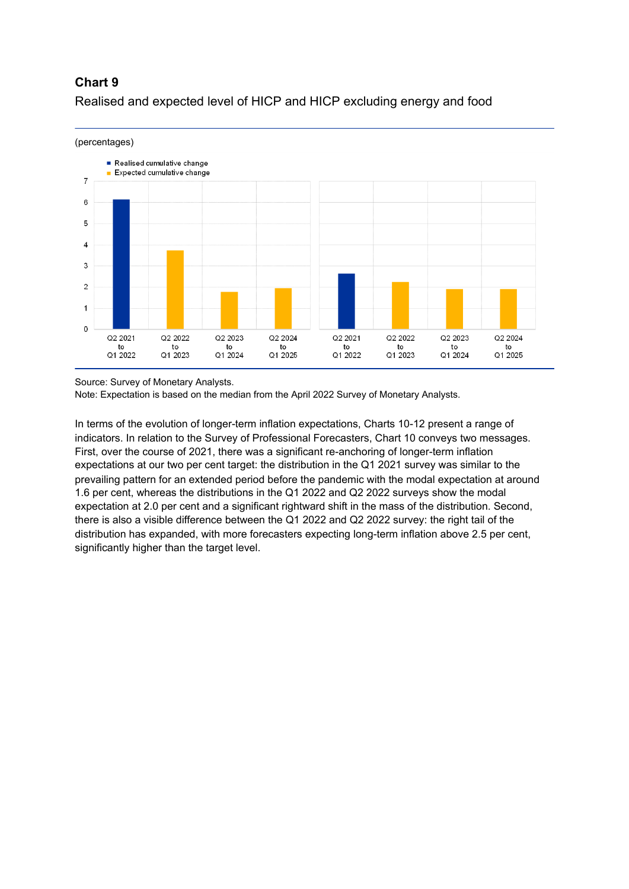### **Chart 9**



Realised and expected level of HICP and HICP excluding energy and food

Source: Survey of Monetary Analysts.

Note: Expectation is based on the median from the April 2022 Survey of Monetary Analysts.

In terms of the evolution of longer-term inflation expectations, Charts 10-12 present a range of indicators. In relation to the Survey of Professional Forecasters, Chart 10 conveys two messages. First, over the course of 2021, there was a significant re-anchoring of longer-term inflation expectations at our two per cent target: the distribution in the Q1 2021 survey was similar to the prevailing pattern for an extended period before the pandemic with the modal expectation at around 1.6 per cent, whereas the distributions in the Q1 2022 and Q2 2022 surveys show the modal expectation at 2.0 per cent and a significant rightward shift in the mass of the distribution. Second, there is also a visible difference between the Q1 2022 and Q2 2022 survey: the right tail of the distribution has expanded, with more forecasters expecting long-term inflation above 2.5 per cent, significantly higher than the target level.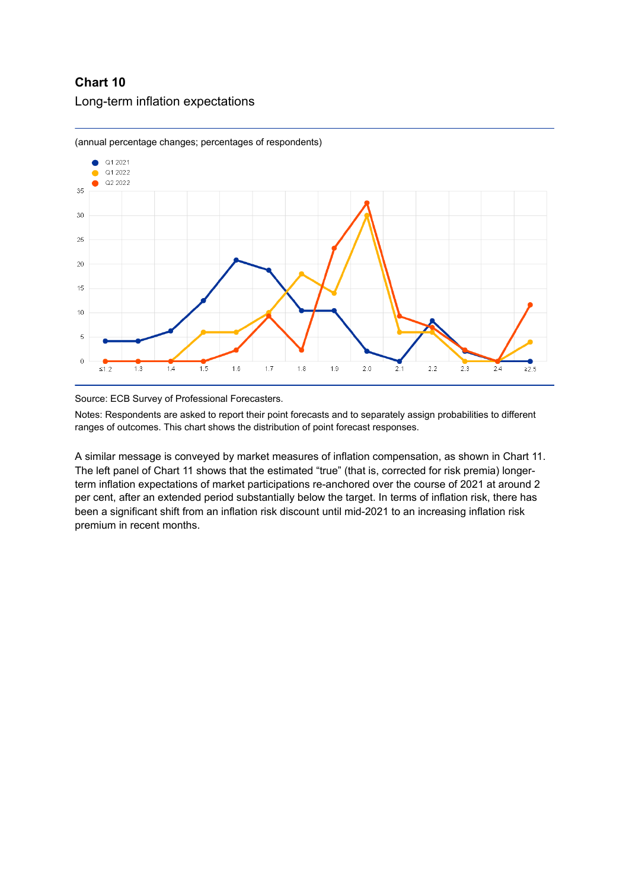### **Chart 10** Long-term inflation expectations



(annual percentage changes; percentages of respondents)



Notes: Respondents are asked to report their point forecasts and to separately assign probabilities to different ranges of outcomes. This chart shows the distribution of point forecast responses.

A similar message is conveyed by market measures of inflation compensation, as shown in Chart 11. The left panel of Chart 11 shows that the estimated "true" (that is, corrected for risk premia) longerterm inflation expectations of market participations re-anchored over the course of 2021 at around 2 per cent, after an extended period substantially below the target. In terms of inflation risk, there has been a significant shift from an inflation risk discount until mid-2021 to an increasing inflation risk premium in recent months.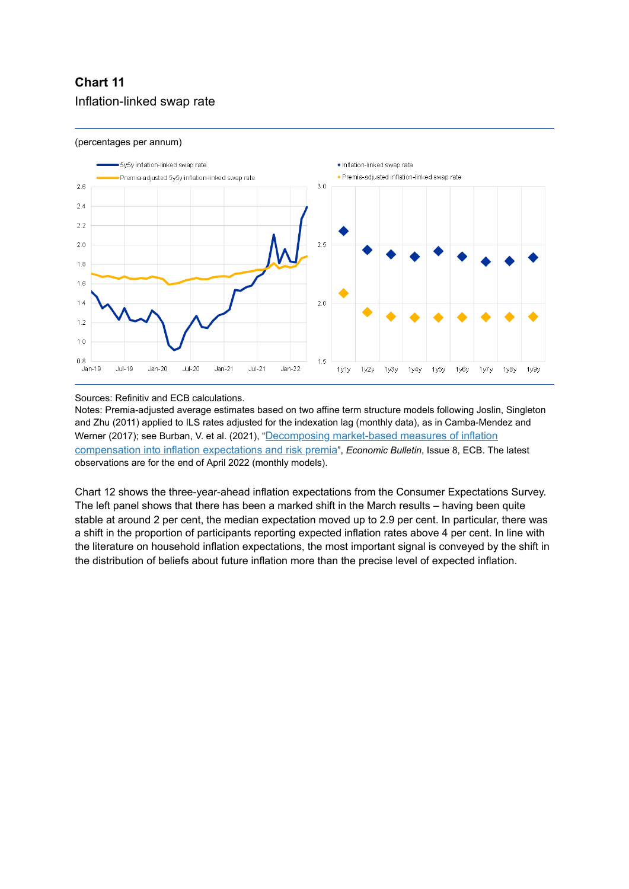### **Chart 11** Inflation-linked swap rate

#### (percentages per annum)



Sources: Refinitiv and ECB calculations.

Notes: Premia-adjusted average estimates based on two affine term structure models following Joslin, Singleton and Zhu (2011) applied to ILS rates adjusted for the indexation lag (monthly data), as in Camba-Mendez and [Werner \(2017\); see Burban, V. et al. \(2021\), "](https://www.ecb.europa.eu/pub/economic-bulletin/focus/2022/html/ecb.ebbox202108_04~e1a3c5e88a.en.html)<u>Decomposing market-based measures of inflation</u> compensation into inflation expectations and risk premia", *Economic Bulletin*, Issue 8, ECB. The latest observations are for the end of April 2022 (monthly models).

Chart 12 shows the three-year-ahead inflation expectations from the Consumer Expectations Survey. The left panel shows that there has been a marked shift in the March results – having been quite stable at around 2 per cent, the median expectation moved up to 2.9 per cent. In particular, there was a shift in the proportion of participants reporting expected inflation rates above 4 per cent. In line with the literature on household inflation expectations, the most important signal is conveyed by the shift in the distribution of beliefs about future inflation more than the precise level of expected inflation.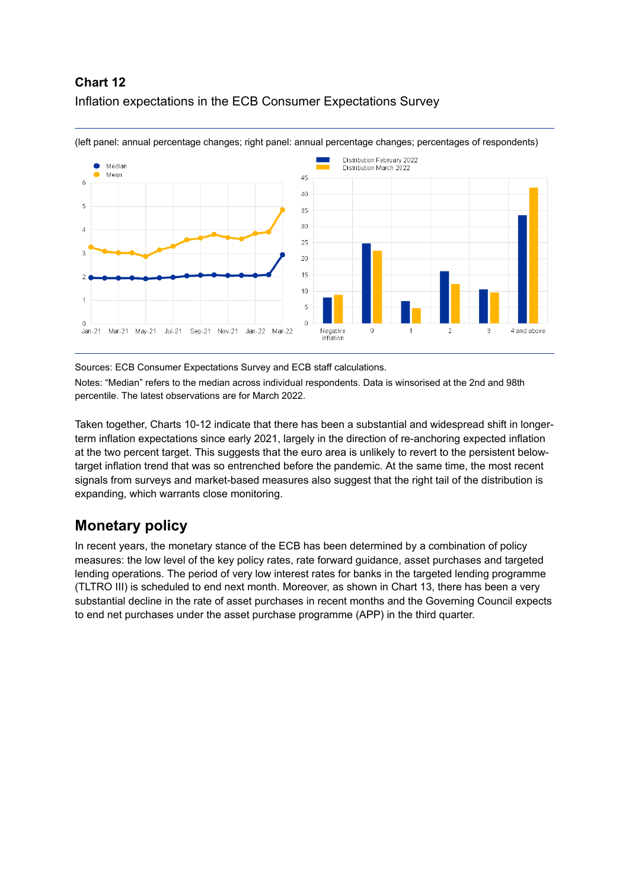### **Chart 12** Inflation expectations in the ECB Consumer Expectations Survey



(left panel: annual percentage changes; right panel: annual percentage changes; percentages of respondents)

#### Sources: ECB Consumer Expectations Survey and ECB staff calculations.

Notes: "Median" refers to the median across individual respondents. Data is winsorised at the 2nd and 98th percentile. The latest observations are for March 2022.

Taken together, Charts 10-12 indicate that there has been a substantial and widespread shift in longerterm inflation expectations since early 2021, largely in the direction of re-anchoring expected inflation at the two percent target. This suggests that the euro area is unlikely to revert to the persistent belowtarget inflation trend that was so entrenched before the pandemic. At the same time, the most recent signals from surveys and market-based measures also suggest that the right tail of the distribution is expanding, which warrants close monitoring.

### **Monetary policy**

In recent years, the monetary stance of the ECB has been determined by a combination of policy measures: the low level of the key policy rates, rate forward guidance, asset purchases and targeted lending operations. The period of very low interest rates for banks in the targeted lending programme (TLTRO III) is scheduled to end next month. Moreover, as shown in Chart 13, there has been a very substantial decline in the rate of asset purchases in recent months and the Governing Council expects to end net purchases under the asset purchase programme (APP) in the third quarter.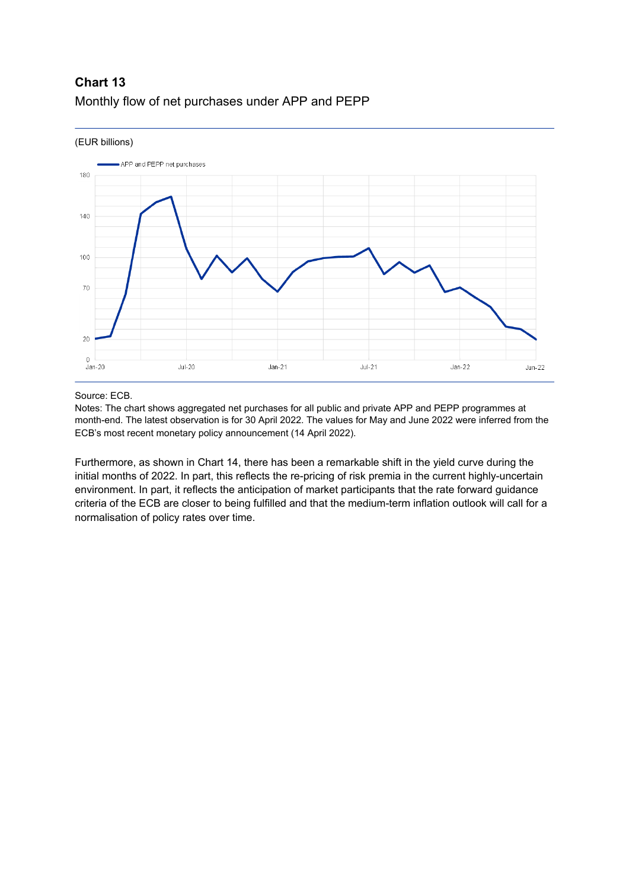### **Chart 13** Monthly flow of net purchases under APP and PEPP



#### Source: ECB.

Notes: The chart shows aggregated net purchases for all public and private APP and PEPP programmes at month-end. The latest observation is for 30 April 2022. The values for May and June 2022 were inferred from the ECB's most recent monetary policy announcement (14 April 2022).

Furthermore, as shown in Chart 14, there has been a remarkable shift in the yield curve during the initial months of 2022. In part, this reflects the re-pricing of risk premia in the current highly-uncertain environment. In part, it reflects the anticipation of market participants that the rate forward guidance criteria of the ECB are closer to being fulfilled and that the medium-term inflation outlook will call for a normalisation of policy rates over time.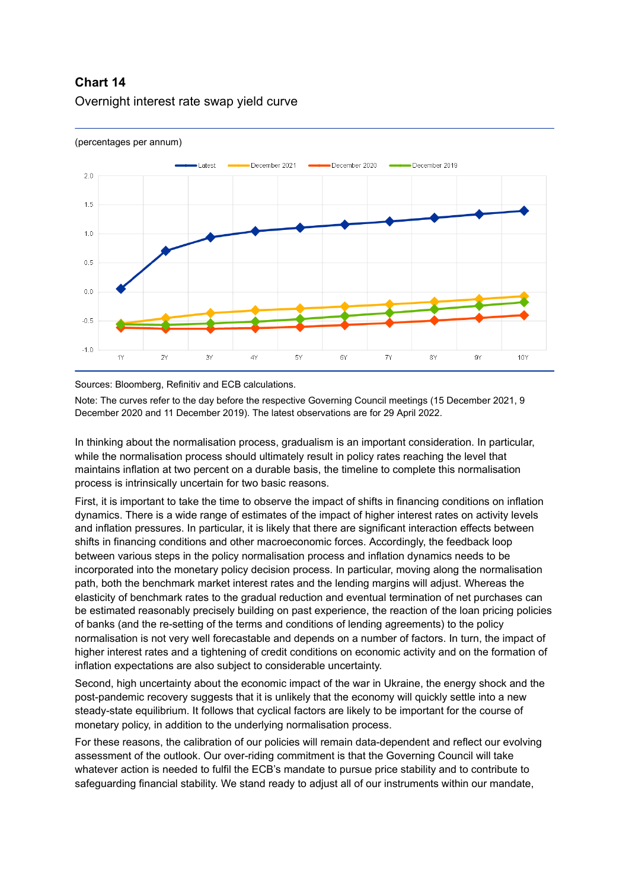### **Chart 14** Overnight interest rate swap yield curve



#### (percentages per annum)

Sources: Bloomberg, Refinitiv and ECB calculations.

Note: The curves refer to the day before the respective Governing Council meetings (15 December 2021, 9 December 2020 and 11 December 2019). The latest observations are for 29 April 2022.

In thinking about the normalisation process, gradualism is an important consideration. In particular, while the normalisation process should ultimately result in policy rates reaching the level that maintains inflation at two percent on a durable basis, the timeline to complete this normalisation process is intrinsically uncertain for two basic reasons.

First, it is important to take the time to observe the impact of shifts in financing conditions on inflation dynamics. There is a wide range of estimates of the impact of higher interest rates on activity levels and inflation pressures. In particular, it is likely that there are significant interaction effects between shifts in financing conditions and other macroeconomic forces. Accordingly, the feedback loop between various steps in the policy normalisation process and inflation dynamics needs to be incorporated into the monetary policy decision process. In particular, moving along the normalisation path, both the benchmark market interest rates and the lending margins will adjust. Whereas the elasticity of benchmark rates to the gradual reduction and eventual termination of net purchases can be estimated reasonably precisely building on past experience, the reaction of the loan pricing policies of banks (and the re-setting of the terms and conditions of lending agreements) to the policy normalisation is not very well forecastable and depends on a number of factors. In turn, the impact of higher interest rates and a tightening of credit conditions on economic activity and on the formation of inflation expectations are also subject to considerable uncertainty.

Second, high uncertainty about the economic impact of the war in Ukraine, the energy shock and the post-pandemic recovery suggests that it is unlikely that the economy will quickly settle into a new steady-state equilibrium. It follows that cyclical factors are likely to be important for the course of monetary policy, in addition to the underlying normalisation process.

For these reasons, the calibration of our policies will remain data-dependent and reflect our evolving assessment of the outlook. Our over-riding commitment is that the Governing Council will take whatever action is needed to fulfil the ECB's mandate to pursue price stability and to contribute to safeguarding financial stability. We stand ready to adjust all of our instruments within our mandate,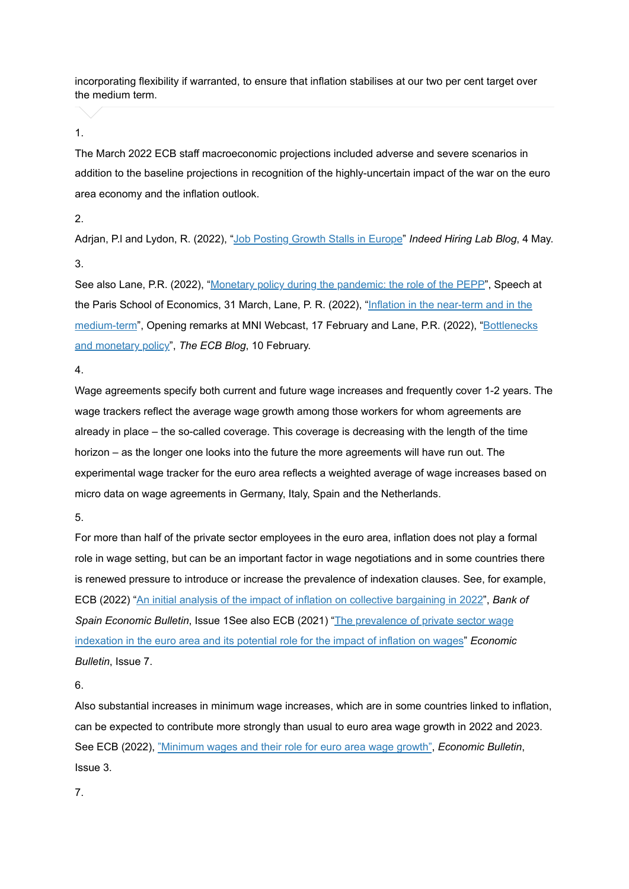incorporating flexibility if warranted, to ensure that inflation stabilises at our two per cent target over the medium term.

#### 1.

The March 2022 ECB staff macroeconomic projections included adverse and severe scenarios in addition to the baseline projections in recognition of the highly-uncertain impact of the war on the euro area economy and the inflation outlook.

#### 2.

Adrjan, P.I and Lydon, R. (2022), "<u>[Job Posting Growth Stalls in Europe](https://www.hiringlab.org/uk/blog/2022/05/04/job-posting-growth-stalls-in-europe/)</u>" *Indeed Hiring Lab Blog*, 4 May. 3.

See also Lane, P.R. (2022), "<u>[Monetary policy during the pandemic: the role of the PEPP](https://www.ecb.europa.eu/press/key/date/2022/html/ecb.sp220331~b11d74f249.en.html)</u>", Speech at the Paris School of Economics, 31 March, Lane, P. R. (2022), "<u>Inflation in the near-term and in the</u> <u>medium-term</u>[", Opening remarks at MNI Webcast, 17 February and Lane, P.R. \(2022\), "](https://www.ecb.europa.eu/press/key/date/2022/html/ecb.sp220217_1~592ac6ec12.en.html)<u>Bottlenecks</u> and monetary policy", The ECB Blog, 10 February.

4.

Wage agreements specify both current and future wage increases and frequently cover 1-2 years. The wage trackers reflect the average wage growth among those workers for whom agreements are already in place – the so-called coverage. This coverage is decreasing with the length of the time horizon – as the longer one looks into the future the more agreements will have run out. The experimental wage tracker for the euro area reflects a weighted average of wage increases based on micro data on wage agreements in Germany, Italy, Spain and the Netherlands.

5.

For more than half of the private sector employees in the euro area, inflation does not play a formal role in wage setting, but can be an important factor in wage negotiations and in some countries there is renewed pressure to introduce or increase the prevalence of indexation clauses. See, for example, ECB (2022) "[An initial analysis of the impact of inflation on collective bargaining in 2022](https://www.bde.es/f/webbde/SES/Secciones/Publicaciones/InformesBoletinesRevistas/BoletinEconomico/Informe%20trimestral/22/Files/be2201-it-Box6.pdf)", Bank of Spain Economic Bulletin, Issue 1See also ECB (2021) "The prevalence of private sector wage [indexation in the euro area and its potential role for the impact of inflation on wages"](https://www.ecb.europa.eu/pub/economic-bulletin/focus/2021/html/ecb.ebbox202107_07~f555b70c47.en.html) *Economic Bulletin*, Issue 7.

6.

Also substantial increases in minimum wage increases, which are in some countries linked to inflation, can be expected to contribute more strongly than usual to euro area wage growth in 2022 and 2023. See ECB (2022), ["Minimum wages and their role for euro area wage growth"](https://www.ecb.europa.eu/pub/economic-bulletin/focus/2022/html/ecb.ebbox202203_04~dd90d8dbde.en.html), *Economic Bulletin*, Issue 3.

7.